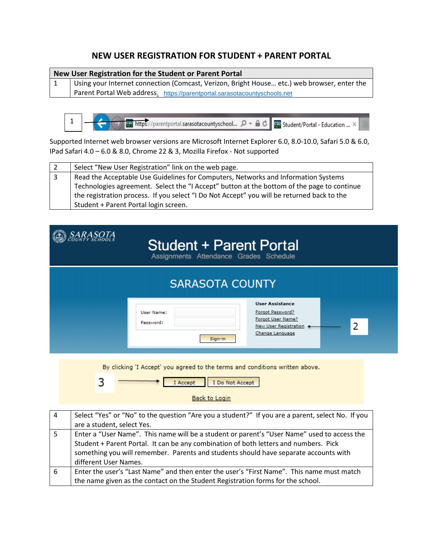## **NEW USER REGISTRATION FOR STUDENT + PARENT PORTAL**

| New User Registration for the Student or Parent Portal                                        |  |  |  |  |  |
|-----------------------------------------------------------------------------------------------|--|--|--|--|--|
| Using your Internet connection (Comcast, Verizon, Bright House etc.) web browser, enter the   |  |  |  |  |  |
| Parent Portal Web address. https://parentportal.sarasotacountyschools.net                     |  |  |  |  |  |
|                                                                                               |  |  |  |  |  |
| 【※32】 https://parentportal.sarasotacountyschool つ → △ ○ 【※32】 Student/Portal - Education  × 】 |  |  |  |  |  |

Supported Internet web browser versions are Microsoft Internet Explorer 6.0, 8.0-10.0, Safari 5.0 & 6.0, IPad Safari 4.0 – 6.0 & 8.0, Chrome 22 & 3, Mozilla Firefox - Not supported

| l 2 | Select "New User Registration" link on the web page.                                       |
|-----|--------------------------------------------------------------------------------------------|
| 3   | Read the Acceptable Use Guidelines for Computers, Networks and Information Systems         |
|     | Technologies agreement. Select the "I Accept" button at the bottom of the page to continue |
|     | the registration process. If you select "I Do Not Accept" you will be returned back to the |
|     | Student + Parent Portal login screen.                                                      |

| <b>Student + Parent Portal</b><br>Assignments Attendance Grades Schedule |                                                                                                             |                |  |
|--------------------------------------------------------------------------|-------------------------------------------------------------------------------------------------------------|----------------|--|
| <b>SARASOTA COUNTY</b><br>User Name:<br>Password:<br>Sign-in             | <b>User Assistance</b><br>Forgot Password?<br>Forgot User Name?<br>New User Registration<br>Change Language | $\overline{2}$ |  |

By clicking 'I Accept' you agreed to the terms and conditions written above.

3 I Accept I Do Not Accept

**Back to Login** 

| 4 | Select "Yes" or "No" to the question "Are you a student?" If you are a parent, select No. If you |
|---|--------------------------------------------------------------------------------------------------|
|   | are a student, select Yes.                                                                       |
| 5 | Enter a "User Name". This name will be a student or parent's "User Name" used to access the      |
|   | Student + Parent Portal. It can be any combination of both letters and numbers. Pick             |
|   | something you will remember. Parents and students should have separate accounts with             |
|   | different User Names.                                                                            |
| 6 | Enter the user's "Last Name" and then enter the user's "First Name". This name must match        |
|   | the name given as the contact on the Student Registration forms for the school.                  |